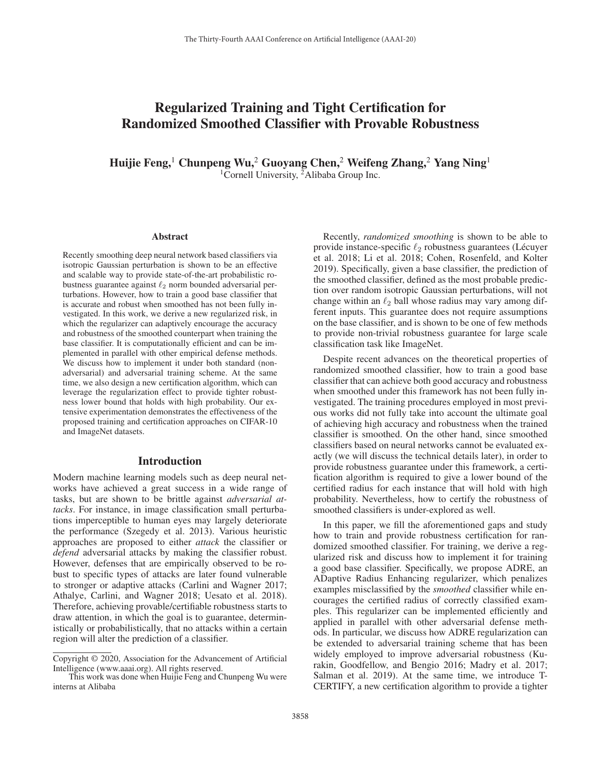# Regularized Training and Tight Certification for Randomized Smoothed Classifier with Provable Robustness

Huijie Feng,<sup>1</sup> Chunpeng Wu,<sup>2</sup> Guoyang Chen,<sup>2</sup> Weifeng Zhang,<sup>2</sup> Yang Ning<sup>1</sup> <sup>1</sup>Cornell University, <sup>2</sup>Alibaba Group Inc.

#### Abstract

Recently smoothing deep neural network based classifiers via isotropic Gaussian perturbation is shown to be an effective and scalable way to provide state-of-the-art probabilistic robustness guarantee against  $\ell_2$  norm bounded adversarial perturbations. However, how to train a good base classifier that is accurate and robust when smoothed has not been fully investigated. In this work, we derive a new regularized risk, in which the regularizer can adaptively encourage the accuracy and robustness of the smoothed counterpart when training the base classifier. It is computationally efficient and can be implemented in parallel with other empirical defense methods. We discuss how to implement it under both standard (nonadversarial) and adversarial training scheme. At the same time, we also design a new certification algorithm, which can leverage the regularization effect to provide tighter robustness lower bound that holds with high probability. Our extensive experimentation demonstrates the effectiveness of the proposed training and certification approaches on CIFAR-10 and ImageNet datasets.

#### Introduction

Modern machine learning models such as deep neural networks have achieved a great success in a wide range of tasks, but are shown to be brittle against *adversarial attacks*. For instance, in image classification small perturbations imperceptible to human eyes may largely deteriorate the performance (Szegedy et al. 2013). Various heuristic approaches are proposed to either *attack* the classifier or *defend* adversarial attacks by making the classifier robust. However, defenses that are empirically observed to be robust to specific types of attacks are later found vulnerable to stronger or adaptive attacks (Carlini and Wagner 2017; Athalye, Carlini, and Wagner 2018; Uesato et al. 2018). Therefore, achieving provable/certifiable robustness starts to draw attention, in which the goal is to guarantee, deterministically or probabilistically, that no attacks within a certain region will alter the prediction of a classifier.

Recently, *randomized smoothing* is shown to be able to provide instance-specific  $\ell_2$  robustness guarantees (Lécuyer et al. 2018: Li et al. 2018: Cohen. Rosenfeld, and Kolter et al. 2018; Li et al. 2018; Cohen, Rosenfeld, and Kolter 2019). Specifically, given a base classifier, the prediction of the smoothed classifier, defined as the most probable prediction over random isotropic Gaussian perturbations, will not change within an  $\ell_2$  ball whose radius may vary among different inputs. This guarantee does not require assumptions ferent inputs. This guarantee does not require assumptions on the base classifier, and is shown to be one of few methods to provide non-trivial robustness guarantee for large scale classification task like ImageNet.

Despite recent advances on the theoretical properties of randomized smoothed classifier, how to train a good base classifier that can achieve both good accuracy and robustness when smoothed under this framework has not been fully investigated. The training procedures employed in most previous works did not fully take into account the ultimate goal of achieving high accuracy and robustness when the trained classifier is smoothed. On the other hand, since smoothed classifiers based on neural networks cannot be evaluated exactly (we will discuss the technical details later), in order to provide robustness guarantee under this framework, a certification algorithm is required to give a lower bound of the certified radius for each instance that will hold with high probability. Nevertheless, how to certify the robustness of smoothed classifiers is under-explored as well.

In this paper, we fill the aforementioned gaps and study how to train and provide robustness certification for randomized smoothed classifier. For training, we derive a regularized risk and discuss how to implement it for training a good base classifier. Specifically, we propose ADRE, an ADaptive Radius Enhancing regularizer, which penalizes examples misclassified by the *smoothed* classifier while encourages the certified radius of correctly classified examples. This regularizer can be implemented efficiently and applied in parallel with other adversarial defense methods. In particular, we discuss how ADRE regularization can be extended to adversarial training scheme that has been widely employed to improve adversarial robustness (Kurakin, Goodfellow, and Bengio 2016; Madry et al. 2017; Salman et al. 2019). At the same time, we introduce T-CERTIFY, a new certification algorithm to provide a tighter

Copyright © 2020, Association for the Advancement of Artificial Intelligence (www.aaai.org). All rights reserved.

This work was done when Huijie Feng and Chunpeng Wu were interns at Alibaba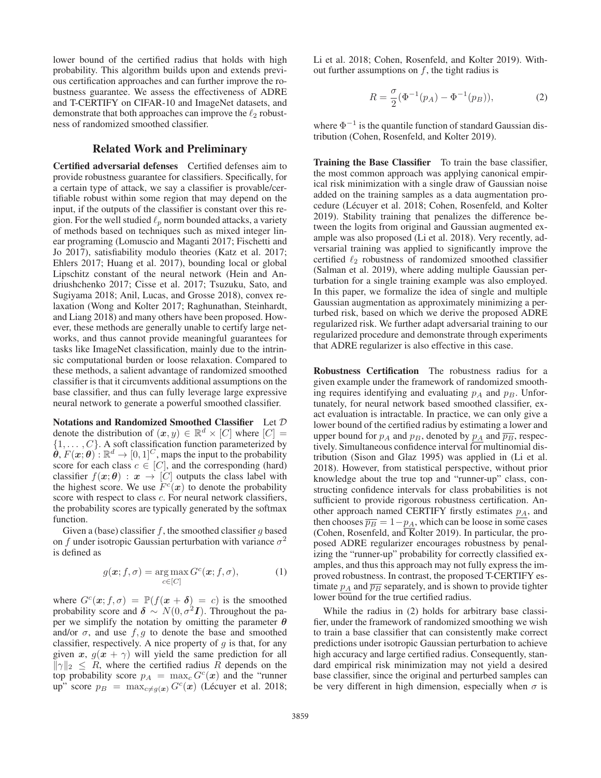lower bound of the certified radius that holds with high probability. This algorithm builds upon and extends previous certification approaches and can further improve the robustness guarantee. We assess the effectiveness of ADRE and T-CERTIFY on CIFAR-10 and ImageNet datasets, and demonstrate that both approaches can improve the  $\ell_2$  robust-<br>ness of randomized smoothed classifier ness of randomized smoothed classifier.

### Related Work and Preliminary

Certified adversarial defenses Certified defenses aim to provide robustness guarantee for classifiers. Specifically, for a certain type of attack, we say a classifier is provable/certifiable robust within some region that may depend on the input, if the outputs of the classifier is constant over this region. For the well studied  $\ell_p$  norm bounded attacks, a variety of methods based on techniques such as mixed integer linof methods based on techniques such as mixed integer linear programing (Lomuscio and Maganti 2017; Fischetti and Jo 2017), satisfiability modulo theories (Katz et al. 2017; Ehlers 2017; Huang et al. 2017), bounding local or global Lipschitz constant of the neural network (Hein and Andriushchenko 2017; Cisse et al. 2017; Tsuzuku, Sato, and Sugiyama 2018; Anil, Lucas, and Grosse 2018), convex relaxation (Wong and Kolter 2017; Raghunathan, Steinhardt, and Liang 2018) and many others have been proposed. However, these methods are generally unable to certify large networks, and thus cannot provide meaningful guarantees for tasks like ImageNet classification, mainly due to the intrinsic computational burden or loose relaxation. Compared to these methods, a salient advantage of randomized smoothed classifier is that it circumvents additional assumptions on the base classifier, and thus can fully leverage large expressive neural network to generate a powerful smoothed classifier.

Notations and Randomized Smoothed Classifier Let D denote the distribution of  $(x, y) \in \mathbb{R}^d \times [C]$  where  $[C] =$  $\{1,\ldots,C\}$ . A soft classification function parameterized by  $\hat{\theta}$ ,  $F(\mathbf{x}; \theta) : \mathbb{R}^d \to [0, 1]^C$ , maps the input to the probability score for each class  $c \in [C]$ , and the corresponding (hard) score for each class  $c \in [C]$ , and the corresponding (hard)<br>classifier  $f(x; \theta) : x \to [C]$  outputs the class label with classifier  $f(x; \theta) : x \to [C]$  outputs the class label with the highest score. We use  $F<sup>c</sup>(x)$  to denote the probability the highest score. We use  $F<sup>c</sup>(x)$  to denote the probability score with respect to class c. For neural network classifiers score with respect to class *c*. For neural network classifiers, the probability scores are typically generated by the softmax function.

Given a (base) classifier f, the smoothed classifier q based on f under isotropic Gaussian perturbation with variance  $\sigma^2$ is defined as

$$
g(\mathbf{x}; f, \sigma) = \underset{c \in [C]}{\arg \max} G^c(\mathbf{x}; f, \sigma), \tag{1}
$$

where  $G<sup>c</sup>(x; f, \sigma) = \mathbb{P}(f(x + \delta) = c)$  is the smoothed probability score and  $\delta \sim N(0, \sigma^2 I)$ . Throughout the paper we simplify the notation by omitting the parameter *θ* and/or  $\sigma$ , and use  $f, g$  to denote the base and smoothed classifier, respectively. A nice property of  $g$  is that, for any given *x*,  $g(x + \gamma)$  will yield the same prediction for all  $\|\gamma\|_2 \leq R$ , where the certified radius R depends on the top probability score  $p_A = \max_c G^c(\boldsymbol{x})$  and the "runner" up" score  $p_B = \max_{c \neq q(x)} G^c(x)$  (Lécuyer et al. 2018; Li et al. 2018; Cohen, Rosenfeld, and Kolter 2019). Without further assumptions on  $f$ , the tight radius is

$$
R = \frac{\sigma}{2} (\Phi^{-1}(p_A) - \Phi^{-1}(p_B)),
$$
 (2)

where  $\Phi^{-1}$  is the quantile function of standard Gaussian distribution (Cohen, Rosenfeld, and Kolter 2019).

Training the Base Classifier To train the base classifier, the most common approach was applying canonical empirical risk minimization with a single draw of Gaussian noise added on the training samples as a data augmentation procedure (Lécuyer et al. 2018; Cohen, Rosenfeld, and Kolter 2019). Stability training that penalizes the difference between the logits from original and Gaussian augmented example was also proposed (Li et al. 2018). Very recently, adversarial training was applied to significantly improve the certified  $\ell_2$  robustness of randomized smoothed classifier (Salman et al. 2019), where adding multiple Gaussian per-(Salman et al. 2019), where adding multiple Gaussian perturbation for a single training example was also employed. In this paper, we formalize the idea of single and multiple Gaussian augmentation as approximately minimizing a perturbed risk, based on which we derive the proposed ADRE regularized risk. We further adapt adversarial training to our regularized procedure and demonstrate through experiments that ADRE regularizer is also effective in this case.

Robustness Certification The robustness radius for a given example under the framework of randomized smoothing requires identifying and evaluating  $p_A$  and  $p_B$ . Unfortunately, for neural network based smoothed classifier, exact evaluation is intractable. In practice, we can only give a lower bound of the certified radius by estimating a lower and upper bound for  $p_A$  and  $p_B$ , denoted by  $p_A$  and  $\overline{p_B}$ , respectively. Simultaneous confidence interval for multinomial distribution (Sison and Glaz 1995) was applied in (Li et al. 2018). However, from statistical perspective, without prior knowledge about the true top and "runner-up" class, constructing confidence intervals for class probabilities is not sufficient to provide rigorous robustness certification. Another approach named CERTIFY firstly estimates  $p_A$ , and then chooses  $\overline{p_B} = 1-p_A$ , which can be loose in some cases (Cohen, Rosenfeld, and Kolter 2019). In particular, the proposed ADRE regularizer encourages robustness by penalizing the "runner-up" probability for correctly classified examples, and thus this approach may not fully express the improved robustness. In contrast, the proposed T-CERTIFY estimate  $p_A$  and  $\overline{p_B}$  separately, and is shown to provide tighter lower bound for the true certified radius.

While the radius in (2) holds for arbitrary base classifier, under the framework of randomized smoothing we wish to train a base classifier that can consistently make correct predictions under isotropic Gaussian perturbation to achieve high accuracy and large certified radius. Consequently, standard empirical risk minimization may not yield a desired base classifier, since the original and perturbed samples can be very different in high dimension, especially when  $\sigma$  is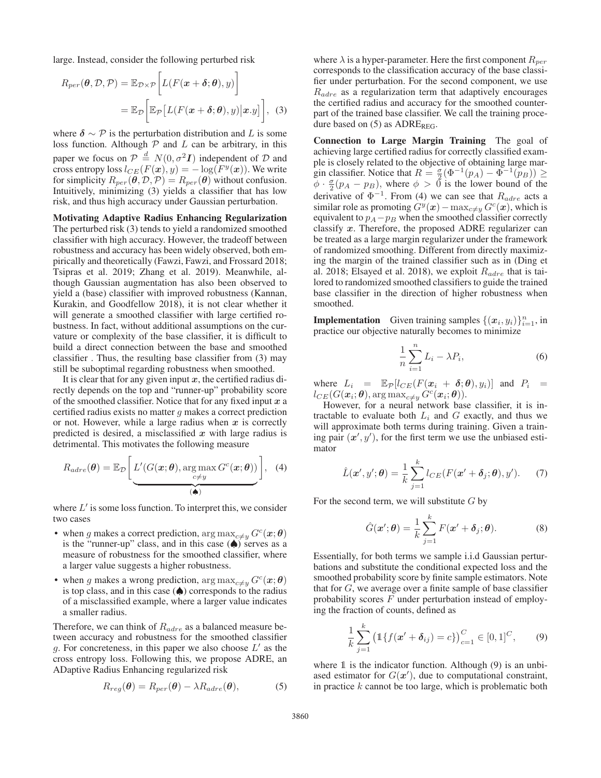large. Instead, consider the following perturbed risk

$$
R_{per}(\boldsymbol{\theta}, \mathcal{D}, \mathcal{P}) = \mathbb{E}_{\mathcal{D}\times\mathcal{P}} \bigg[ L(F(\boldsymbol{x} + \boldsymbol{\delta}; \boldsymbol{\theta}), y) \bigg] = \mathbb{E}_{\mathcal{D}} \bigg[ \mathbb{E}_{\mathcal{P}} \big[ L(F(\boldsymbol{x} + \boldsymbol{\delta}; \boldsymbol{\theta}), y) \big| \boldsymbol{x}.y \big] \bigg], \quad (3)
$$

where  $\delta \sim \mathcal{P}$  is the perturbation distribution and L is some loss function. Although  $P$  and  $L$  can be arbitrary, in this paper we focus on  $\mathcal{P} \stackrel{d}{=} N(0, \sigma^2 I)$  independent of  $\mathcal D$  and cross entrony loss  $l_{CE}(F(x), y) = -\log(F^y(x))$ . We write cross entropy loss  $l_{CE}(F(\boldsymbol{x}), y) = -\log(F^y(\boldsymbol{x}))$ . We write for simplicity  $R_{per}(\vec{\theta}, \mathcal{D}, \mathcal{P}) = R_{per}(\vec{\theta})$  without confusion. Intuitively, minimizing (3) yields a classifier that has low risk, and thus high accuracy under Gaussian perturbation.

Motivating Adaptive Radius Enhancing Regularization The perturbed risk (3) tends to yield a randomized smoothed classifier with high accuracy. However, the tradeoff between robustness and accuracy has been widely observed, both empirically and theoretically (Fawzi, Fawzi, and Frossard 2018; Tsipras et al. 2019; Zhang et al. 2019). Meanwhile, although Gaussian augmentation has also been observed to yield a (base) classifier with improved robustness (Kannan, Kurakin, and Goodfellow 2018), it is not clear whether it will generate a smoothed classifier with large certified robustness. In fact, without additional assumptions on the curvature or complexity of the base classifier, it is difficult to build a direct connection between the base and smoothed classifier . Thus, the resulting base classifier from (3) may still be suboptimal regarding robustness when smoothed.

It is clear that for any given input *x*, the certified radius directly depends on the top and "runner-up" probability score of the smoothed classifier. Notice that for any fixed input *x* a certified radius exists no matter  $q$  makes a correct prediction or not. However, while a large radius when *x* is correctly predicted is desired, a misclassified *x* with large radius is detrimental. This motivates the following measure

$$
R_{adre}(\boldsymbol{\theta}) = \mathbb{E}_{\mathcal{D}}\left[\underbrace{L'(G(\boldsymbol{x};\boldsymbol{\theta}),\argmax_{c\neq y} G^c(\boldsymbol{x};\boldsymbol{\theta}))}_{(\spadesuit)}\right], \quad (4)
$$

where  $L'$  is some loss function. To interpret this, we consider two cases

- when g makes a correct prediction,  $\arg \max_{c \neq y} G^c(\boldsymbol{x}; \boldsymbol{\theta})$ is the "runner-up" class, and in this case  $(\spadesuit)$  serves as a measure of robustness for the smoothed classifier, where a larger value suggests a higher robustness.
- when g makes a wrong prediction,  $\arg \max_{c \neq y} G^c(\boldsymbol{x}; \boldsymbol{\theta})$ is top class, and in this case  $(\spadesuit)$  corresponds to the radius of a misclassified example, where a larger value indicates a smaller radius.

Therefore, we can think of  $R_{adre}$  as a balanced measure between accuracy and robustness for the smoothed classifier g. For concreteness, in this paper we also choose  $L'$  as the cross entropy loss. Following this, we propose ADRE, an ADaptive Radius Enhancing regularized risk

$$
R_{reg}(\boldsymbol{\theta}) = R_{per}(\boldsymbol{\theta}) - \lambda R_{adre}(\boldsymbol{\theta}), \qquad (5)
$$

where  $\lambda$  is a hyper-parameter. Here the first component  $R_{per}$ corresponds to the classification accuracy of the base classifier under perturbation. For the second component, we use  $R_{adre}$  as a regularization term that adaptively encourages the certified radius and accuracy for the smoothed counterpart of the trained base classifier. We call the training procedure based on  $(5)$  as ADRE<sub>REG</sub>.

Connection to Large Margin Training The goal of achieving large certified radius for correctly classified example is closely related to the objective of obtaining large margin classifier. Notice that  $R = \frac{\sigma}{2}(\Phi^{-1}(p_A) - \Phi^{-1}(p_B)) \ge \phi \cdot \frac{\sigma}{2}(p_A - p_B)$  where  $\phi > 0$  is the lower bound of the  $\overline{\phi} \cdot \frac{\sigma}{2}(p_A - p_B)$ , where  $\phi > 0$  is the lower bound of the derivative of  $\Phi^{-1}$ . From (4) we can see that  $B$ , acts a derivative of  $\Phi^{-1}$ . From (4) we can see that  $R_{adre}$  acts a similar role as promoting  $G<sup>y</sup>(x)$  – max<sub>c≠y</sub>  $G<sup>c</sup>(x)$ , which is equivalent to  $p_A - p_B$  when the smoothed classifier correctly classify *x*. Therefore, the proposed ADRE regularizer can be treated as a large margin regularizer under the framework of randomized smoothing. Different from directly maximizing the margin of the trained classifier such as in (Ding et al. 2018; Elsayed et al. 2018), we exploit  $R_{adre}$  that is tailored to randomized smoothed classifiers to guide the trained base classifier in the direction of higher robustness when smoothed.

**Implementation** Given training samples  $\{(x_i, y_i)\}_{i=1}^n$ , in practice our objective naturally becomes to minimize practice our objective naturally becomes to minimize

$$
\frac{1}{n}\sum_{i=1}^{n}L_{i}-\lambda P_{i},\qquad(6)
$$

where  $L_i = \mathbb{E}_{\mathcal{P}}[l_{CE}(F(\mathbf{x}_i + \delta; \theta), y_i)]$  and  $P_i =$  $l_{CE}(G(\boldsymbol{x}_i;\boldsymbol{\theta}), \arg \max_{c \neq y} G^c(\boldsymbol{x}_i;\boldsymbol{\theta})).$ 

However, for a neural network base classifier, it is intractable to evaluate both  $L_i$  and  $G$  exactly, and thus we will approximate both terms during training. Given a training pair  $(x', y')$ , for the first term we use the unbiased esti-<br>mator mator

$$
\hat{L}(\boldsymbol{x}', \boldsymbol{y}'; \boldsymbol{\theta}) = \frac{1}{k} \sum_{j=1}^{k} l_{CE}(F(\boldsymbol{x}' + \boldsymbol{\delta}_j; \boldsymbol{\theta}), \boldsymbol{y}'). \tag{7}
$$

For the second term, we will substitute  $G$  by

$$
\hat{G}(\boldsymbol{x}';\boldsymbol{\theta}) = \frac{1}{k} \sum_{j=1}^{k} F(\boldsymbol{x}' + \boldsymbol{\delta}_j; \boldsymbol{\theta}).
$$
 (8)

Essentially, for both terms we sample i.i.d Gaussian perturbations and substitute the conditional expected loss and the smoothed probability score by finite sample estimators. Note that for  $G$ , we average over a finite sample of base classifier probability scores  $F$  under perturbation instead of employing the fraction of counts, defined as

$$
\frac{1}{k}\sum_{j=1}^{k} \left( \mathbb{1}\{f(\mathbf{x}' + \boldsymbol{\delta}_{ij}) = c\} \right)_{c=1}^{C} \in [0, 1]^{C}, \qquad (9)
$$

where 1 is the indicator function. Although (9) is an unbiased estimator for  $G(x')$ , due to computational constraint,<br>in practice k cannot be too large, which is problematic both in practice  $k$  cannot be too large, which is problematic both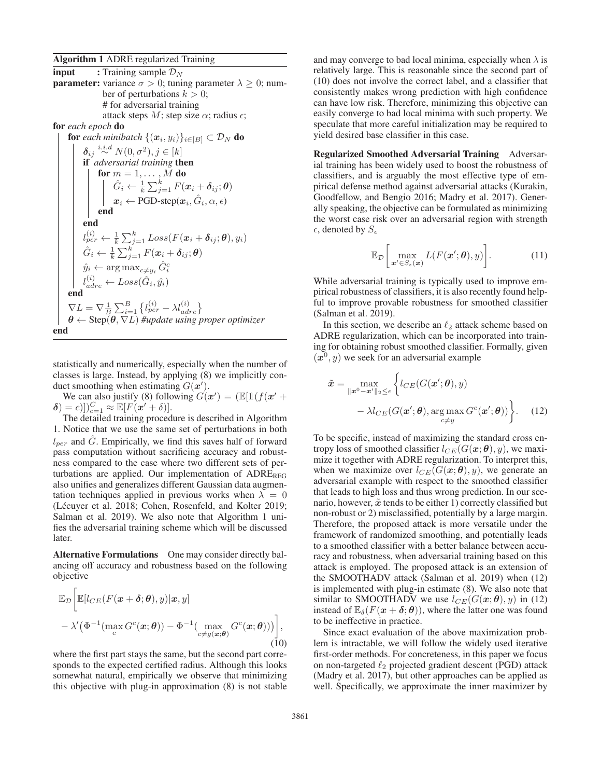#### Algorithm 1 ADRE regularized Training

**input** : Training sample  $\mathcal{D}_N$ **parameter:** variance  $\sigma > 0$ ; tuning parameter  $\lambda \geq 0$ ; number of perturbations  $k > 0$ ; # for adversarial training attack steps  $M$ ; step size  $\alpha$ ; radius  $\epsilon$ ; for *each epoch* do for *each minibatch*  $\{(\boldsymbol{x}_i, y_i)\}_{i \in [B]} \subset \mathcal{D}_N$  do  $\delta_{ij} \stackrel{i.i.d}{\sim} N(0, \sigma^2), j \in [k]$ <br>**if** adversarial training **th** if *adversarial training* then for  $m = 1, \ldots, M$  do<br> $\begin{array}{cc} \n\cdot & \cdot \\
\cdot & \cdot \\
\end{array}$  $\hat{G}_i \leftarrow \frac{1}{k} \sum_{j=1}^k F(\boldsymbol{x}_i + \boldsymbol{\delta}_{ij}; \boldsymbol{\theta})$  $x_i \leftarrow \text{PGD-step}(x_i, G_i, \alpha, \epsilon)$ end end l  $\hat{y}_{per}^{(i)} \leftarrow \frac{1}{k} \sum_{j=1}^{k} Loss(F(\boldsymbol{x}_i + \boldsymbol{\delta}_{ij}; \boldsymbol{\theta}), y_i)$  $\hat{G}_i \leftarrow \frac{1}{k} \sum_{j=1}^k F(\boldsymbol{x}_i + \boldsymbol{\delta}_{ij}; \boldsymbol{\theta})$  $\hat{y}_i \leftarrow \arg \max_{c \neq y_i} \hat{G}_i^c$  $\begin{equation} l_{adre}^{(i)} \leftarrow Loss(\hat{G}_i, \hat{y_i}) \ \textbf{end}$  $\nabla L = \nabla \frac{1}{B} \sum_{i=1}^{B} \left\{ l \right\}$ <br>  $\theta \leftarrow \text{Step}(\theta \nabla l) \#$  $\begin{cases}\n(i) \\
per \n\end{cases}$ <br>
undate using r *<sup>θ</sup>* <sup>←</sup> Step(*θ*, <sup>∇</sup>L) *#update using proper optimizer* end

statistically and numerically, especially when the number of classes is large. Instead, by applying (8) we implicitly conduct smoothing when estimating  $G(x')$ .<br>We can also justify (8) following  $G(x)$ 

We can also justify (8) following  $G(x') = (\mathbb{E}[1(f(x'+\n= c)])^C$ ,  $\approx \mathbb{E}[F(x'+\n\delta)]$  $\delta$ ) = c)]) $_{c=1}^{C} \approx \mathbb{E} [F(x'+\delta)].$ <br>The detailed training proced

The detailed training procedure is described in Algorithm 1. Notice that we use the same set of perturbations in both  $l_{per}$  and G. Empirically, we find this saves half of forward pass computation without sacrificing accuracy and robustness compared to the case where two different sets of perturbations are applied. Our implementation of  $\text{ADRE}_{\text{REG}}$ also unifies and generalizes different Gaussian data augmentation techniques applied in previous works when  $\lambda = 0$ (Lécuyer et al. 2018; Cohen, Rosenfeld, and Kolter 2019; Salman et al. 2019). We also note that Algorithm 1 unifies the adversarial training scheme which will be discussed later.

Alternative Formulations One may consider directly balancing off accuracy and robustness based on the following objective

$$
\mathbb{E}_{\mathcal{D}}\bigg[\mathbb{E}[l_{CE}(F(\boldsymbol{x}+\boldsymbol{\delta};\boldsymbol{\theta}),y)|\boldsymbol{x},y] - \lambda'(\Phi^{-1}(\max_{c} G^{c}(\boldsymbol{x};\boldsymbol{\theta})) - \Phi^{-1}(\max_{c\neq g(\boldsymbol{x};\boldsymbol{\theta})} G^{c}(\boldsymbol{x};\boldsymbol{\theta}))\bigg],\tag{10}
$$

where the first part stays the same, but the second part corresponds to the expected certified radius. Although this looks somewhat natural, empirically we observe that minimizing this objective with plug-in approximation (8) is not stable

and may converge to bad local minima, especially when  $\lambda$  is relatively large. This is reasonable since the second part of (10) does not involve the correct label, and a classifier that consistently makes wrong prediction with high confidence can have low risk. Therefore, minimizing this objective can easily converge to bad local minima with such property. We speculate that more careful initialization may be required to yield desired base classifier in this case.

Regularized Smoothed Adversarial Training Adversarial training has been widely used to boost the robustness of classifiers, and is arguably the most effective type of empirical defense method against adversarial attacks (Kurakin, Goodfellow, and Bengio 2016; Madry et al. 2017). Generally speaking, the objective can be formulated as minimizing the worst case risk over an adversarial region with strength  $\epsilon$ , denoted by  $S_{\epsilon}$ 

$$
\mathbb{E}_{\mathcal{D}}\bigg[\max_{\boldsymbol{x}'\in S_{\epsilon}(\boldsymbol{x})} L(F(\boldsymbol{x}';\boldsymbol{\theta}),y)\bigg].\tag{11}
$$

While adversarial training is typically used to improve empirical robustness of classifiers, it is also recently found helpful to improve provable robustness for smoothed classifier (Salman et al. 2019).

In this section, we describe an  $\ell_2$  attack scheme based on  $\text{PRE}$  regularization which can be incorporated into train-ADRE regularization, which can be incorporated into training for obtaining robust smoothed classifier. Formally, given  $(x^0, y)$  we seek for an adversarial example

$$
\tilde{\boldsymbol{x}} = \max_{\|\boldsymbol{x}^0 - \boldsymbol{x}'\|_2 \le \epsilon} \left\{ l_{CE}(G(\boldsymbol{x}'; \boldsymbol{\theta}), y) - \lambda l_{CE}(G(\boldsymbol{x}'; \boldsymbol{\theta}), \arg \max_{c \ne y} G^c(\boldsymbol{x}'; \boldsymbol{\theta})) \right\}.
$$
 (12)

To be specific, instead of maximizing the standard cross entropy loss of smoothed classifier  $l_{CE}(G(\boldsymbol{x}; \boldsymbol{\theta}), y)$ , we maximize it together with ADRE regularization. To interpret this, when we maximize over  $l_{CE}(G(\mathbf{x}; \theta), y)$ , we generate an adversarial example with respect to the smoothed classifier that leads to high loss and thus wrong prediction. In our scenario, however,  $\tilde{x}$  tends to be either 1) correctly classified but non-robust or 2) misclassified, potentially by a large margin. Therefore, the proposed attack is more versatile under the framework of randomized smoothing, and potentially leads to a smoothed classifier with a better balance between accuracy and robustness, when adversarial training based on this attack is employed. The proposed attack is an extension of the SMOOTHADV attack (Salman et al. 2019) when (12) is implemented with plug-in estimate (8). We also note that similar to SMOOTHADV we use  $l_{CE}(G(\mathbf{x}; \theta), y)$  in (12) instead of  $\mathbb{E}_{\delta}(F(\mathbf{x} + \delta; \theta))$ , where the latter one was found to be ineffective in practice.

Since exact evaluation of the above maximization problem is intractable, we will follow the widely used iterative first-order methods. For concreteness, in this paper we focus on non-targeted  $\ell_2$  projected gradient descent (PGD) attack<br>(Madry et al. 2017), but other approaches can be applied as (Madry et al. 2017), but other approaches can be applied as well. Specifically, we approximate the inner maximizer by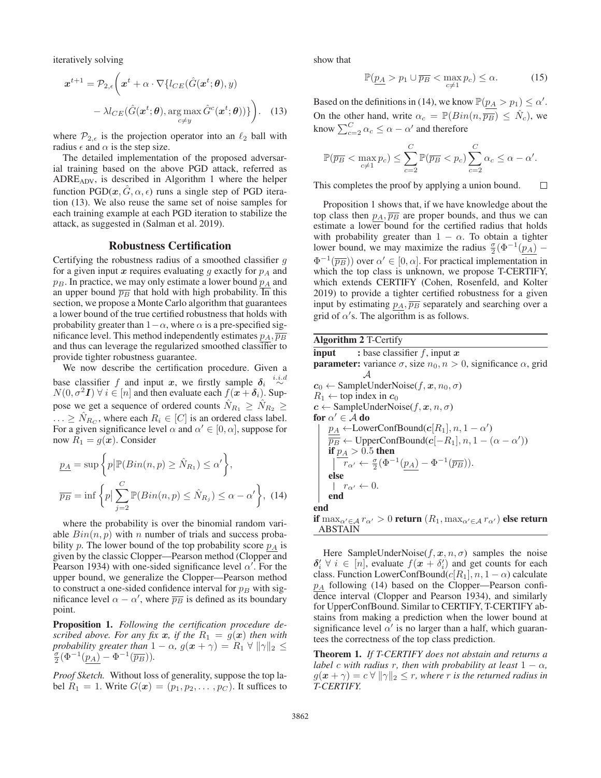iteratively solving

$$
\boldsymbol{x}^{t+1} = \mathcal{P}_{2,\epsilon} \bigg( \boldsymbol{x}^t + \alpha \cdot \nabla \{ l_{CE}(\hat{G}(\boldsymbol{x}^t; \boldsymbol{\theta}), y) - \lambda l_{CE}(\hat{G}(\boldsymbol{x}^t; \boldsymbol{\theta}), \arg \max_{c \neq y} \hat{G}^c(\boldsymbol{x}^t; \boldsymbol{\theta})) \} \bigg). \tag{13}
$$

where  $\mathcal{P}_{2,\epsilon}$  is the projection operator into an  $\ell_2$  ball with radius  $\epsilon$  and  $\alpha$  is the step size radius  $\epsilon$  and  $\alpha$  is the step size.

The detailed implementation of the proposed adversarial training based on the above PGD attack, referred as ADREADV, is described in Algorithm 1 where the helper function  $PGD(x, G, \alpha, \epsilon)$  runs a single step of PGD iteration (13). We also reuse the same set of noise samples for each training example at each PGD iteration to stabilize the attack, as suggested in (Salman et al. 2019).

#### Robustness Certification

Certifying the robustness radius of a smoothed classifier  $g$ for a given input  $x$  requires evaluating  $q$  exactly for  $p<sub>A</sub>$  and  $p_B$ . In practice, we may only estimate a lower bound  $p_A$  and an upper bound  $\overline{p}_B$  that hold with high probability. In this section, we propose a Monte Carlo algorithm that guarantees a lower bound of the true certified robustness that holds with probability greater than  $1-\alpha$ , where  $\alpha$  is a pre-specified significance level. This method independently estimates  $p_A$ ,  $\overline{p_B}$ and thus can leverage the regularized smoothed classifier to provide tighter robustness guarantee.

We now describe the certification procedure. Given a base classifier f and input x, we firstly sample  $\delta_i \stackrel{i.i.d}{\sim} N(0, \sigma^2 I) \forall i \in [n]$  and then evaluate each  $f(x + \delta_i)$ . Sup- $N(0, \sigma^2 I)$   $\forall i \in [n]$  and then evaluate each  $f(x + \delta_i)$ . Suppose we get a sequence of ordered counts  $N_{R_1} \ge N_{R_2} \ge$  $\ldots \geq \hat{N}_{R_C}$ , where each  $R_i \in [C]$  is an ordered class label. For a given significance level  $\alpha$  and  $\alpha' \in [0, \alpha]$ , suppose for now  $R_1 = g(x)$ . Consider

$$
\underline{p_A} = \sup \left\{ p \middle| \mathbb{P}(Bin(n, p) \ge \hat{N}_{R_1}) \le \alpha' \right\},
$$
\n
$$
\overline{p_B} = \inf \left\{ p \middle| \sum_{j=2}^{C} \mathbb{P}(Bin(n, p) \le \hat{N}_{R_j}) \le \alpha - \alpha' \right\}, (14)
$$

where the probability is over the binomial random variable  $Bin(n, p)$  with n number of trials and success probability p. The lower bound of the top probability score  $p_A$  is given by the classic Clopper—Pearson method (Clopper and Pearson 1934) with one-sided significance level  $\alpha'$ . For the upper bound we generalize the Clopper—Pearson method upper bound, we generalize the Clopper—Pearson method to construct a one-sided confidence interval for  $p_B$  with significance level  $\alpha - \alpha'$ , where  $\overline{p}_B$  is defined as its boundary point point.

Proposition 1. *Following the certification procedure described above. For any fix*  $x$ *, if the*  $R_1 = g(x)$  *then with probability greater than*  $1 - \alpha$ ,  $g(x + \gamma) = R_1 \forall ||\gamma||_2 \leq$  $\frac{\sigma}{2}(\Phi^{-1}(p_A) - \Phi^{-1}(\overline{p_B})).$ 

*Proof Sketch.* Without loss of generality, suppose the top label  $R_1 = 1$ . Write  $G(\mathbf{x})=(p_1, p_2, \ldots, p_C)$ . It suffices to show that

$$
\mathbb{P}(\underline{p_A} > p_1 \cup \overline{p_B} < \max_{c \neq 1} p_c) \leq \alpha. \tag{15}
$$

Based on the definitions in (14), we know  $\mathbb{P}(p_A > p_1) \leq \alpha'$ . On the other hand, write  $\alpha_c = \mathbb{P}(Bin(n, \overline{p_B}) \leq \hat{N}_c)$ , we know  $\sum_{c=2}^{C} \alpha_c \leq \alpha - \alpha'$  and therefore

$$
\mathbb{P}(\overline{p_B} < \max_{c \neq 1} p_c) \leq \sum_{c=2}^C \mathbb{P}(\overline{p_B} < p_c) \sum_{c=2}^C \alpha_c \leq \alpha - \alpha'.
$$

 $\Box$ This completes the proof by applying a union bound.

Proposition 1 shows that, if we have knowledge about the top class then  $p_A$ ,  $\overline{p_B}$  are proper bounds, and thus we can estimate a lower bound for the certified radius that holds with probability greater than  $1 - \alpha$ . To obtain a tighter lower bound, we may maximize the radius  $\frac{\sigma}{2}(\Phi^{-1}(p_A) - \Phi^{-1}(\overline{m}_A))$  $\Phi^{-1}(\overline{p_B})$  over  $\alpha' \in [0, \alpha]$ . For practical implementation in which the top class is unknown, we propose T-CERTIFY, which extends CERTIFY (Cohen, Rosenfeld, and Kolter 2019) to provide a tighter certified robustness for a given input by estimating  $p_A$ ,  $\overline{p_B}$  separately and searching over a grid of  $\alpha'$ s. The algorithm is as follows.

Algorithm 2 T-Certify **input** : base classifier f, input  $x$ <br>**parameter:** variance  $\sigma$  size  $n_0$ ,  $n >$ **parameter:** variance  $\sigma$ , size  $n_0, n > 0$ , significance  $\alpha$ , grid A  $c_0 \leftarrow$  SampleUnderNoise( $f, x, n_0, \sigma$ )  $R_1 \leftarrow$  top index in  $c_0$  $c \leftarrow$  SampleUnderNoise( $f, x, n, \sigma$ ) for  $\alpha' \in A$  do  $\underline{p_A} \leftarrow \text{LowerConfBound}(c[R_1], n, 1 - \alpha')$ <br>  $\overline{p_B} \leftarrow \text{InnerConfBound}(c[-R_1], n, 1 - \alpha')$  $\overline{p_B} \leftarrow \text{UpperConfBound}(c[-R_1], n, 1 - (\alpha - \alpha'))$ <br>if  $n_A > 0.5$  then if  $p_A > 0.5$  then  $\overline{r}_{\alpha'} \leftarrow \frac{\sigma}{2} (\Phi^{-1}(\underline{p}_A) - \Phi^{-1}(\overline{p}_B)).$ else  $r_{\alpha'} \leftarrow 0.$ end end if  $\max_{\alpha' \in \mathcal{A}} r_{\alpha'} > 0$  return  $(R_1, \max_{\alpha' \in \mathcal{A}} r_{\alpha'})$  else return<br>ABSTAIN ABSTAIN

Here SampleUnderNoise( $f, x, n, \sigma$ ) samples the noise  $\delta'_i \ \forall \ i \in [n]$ , evaluate  $f(x + \delta'_i)$  and get counts for each class Function LowerConfBound( $c[R_1]$   $n \ 1-\alpha$ ) calculate class. Function LowerConfBound( $c[R_1], n, 1 - \alpha$ ) calculate  $p_A$  following (14) based on the Clopper—Pearson confidence interval (Clopper and Pearson 1934), and similarly for UpperConfBound. Similar to CERTIFY, T-CERTIFY abstains from making a prediction when the lower bound at significance level  $\alpha'$  is no larger than a half, which guarantees the correctness of the top class prediction.

Theorem 1. *If T-CERTIFY does not abstain and returns a label* c *with radius* r, then with probability at least  $1 - \alpha$ *,*  $g(\boldsymbol{x} + \gamma) = c \,\forall \, \|\gamma\|_2 \leq r$ , where r is the returned radius in *T-CERTIFY.*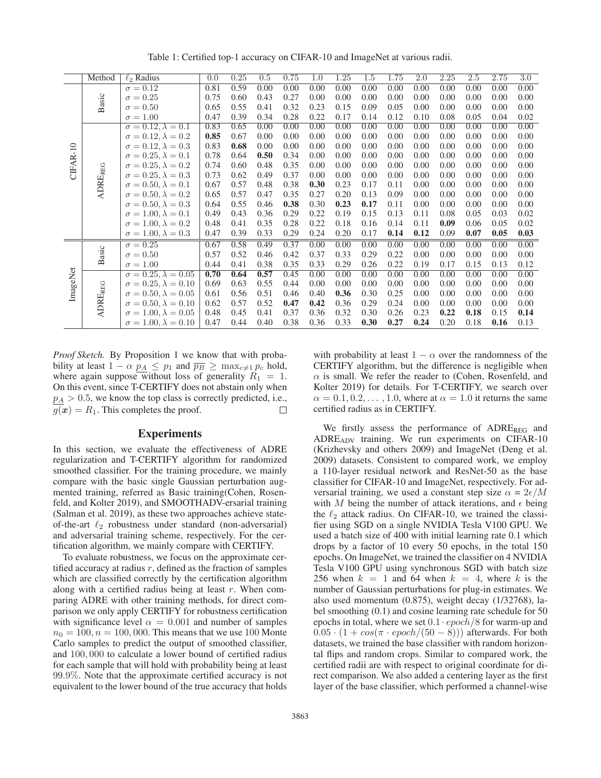|          | Method                    | $\ell_2$ Radius                 | 0.0  | 0.25 | 0.5  | 0.75 | 1.0  | 1.25 | 1.5  | 1.75 | 2.0  | 2.25 | 2.5  | 2.75 | $\overline{3.0}$ |
|----------|---------------------------|---------------------------------|------|------|------|------|------|------|------|------|------|------|------|------|------------------|
| CIFAR-10 | Basic                     | $\sigma = 0.12$                 | 0.81 | 0.59 | 0.00 | 0.00 | 0.00 | 0.00 | 0.00 | 0.00 | 0.00 | 0.00 | 0.00 | 0.00 | 0.00             |
|          |                           | $\sigma = 0.25$                 | 0.75 | 0.60 | 0.43 | 0.27 | 0.00 | 0.00 | 0.00 | 0.00 | 0.00 | 0.00 | 0.00 | 0.00 | 0.00             |
|          |                           | $\sigma = 0.50$                 | 0.65 | 0.55 | 0.41 | 0.32 | 0.23 | 0.15 | 0.09 | 0.05 | 0.00 | 0.00 | 0.00 | 0.00 | 0.00             |
|          |                           | $\sigma = 1.00$                 | 0.47 | 0.39 | 0.34 | 0.28 | 0.22 | 0.17 | 0.14 | 0.12 | 0.10 | 0.08 | 0.05 | 0.04 | 0.02             |
|          | <b>ADRE<sub>REG</sub></b> | $\sigma = 0.12, \lambda = 0.1$  | 0.83 | 0.65 | 0.00 | 0.00 | 0.00 | 0.00 | 0.00 | 0.00 | 0.00 | 0.00 | 0.00 | 0.00 | 0.00             |
|          |                           | $\sigma = 0.12, \lambda = 0.2$  | 0.85 | 0.67 | 0.00 | 0.00 | 0.00 | 0.00 | 0.00 | 0.00 | 0.00 | 0.00 | 0.00 | 0.00 | 0.00             |
|          |                           | $\sigma = 0.12, \lambda = 0.3$  | 0.83 | 0.68 | 0.00 | 0.00 | 0.00 | 0.00 | 0.00 | 0.00 | 0.00 | 0.00 | 0.00 | 0.00 | 0.00             |
|          |                           | $\sigma = 0.25, \lambda = 0.1$  | 0.78 | 0.64 | 0.50 | 0.34 | 0.00 | 0.00 | 0.00 | 0.00 | 0.00 | 0.00 | 0.00 | 0.00 | 0.00             |
|          |                           | $\sigma = 0.25, \lambda = 0.2$  | 0.74 | 0.60 | 0.48 | 0.35 | 0.00 | 0.00 | 0.00 | 0.00 | 0.00 | 0.00 | 0.00 | 0.00 | 0.00             |
|          |                           | $\sigma = 0.25, \lambda = 0.3$  | 0.73 | 0.62 | 0.49 | 0.37 | 0.00 | 0.00 | 0.00 | 0.00 | 0.00 | 0.00 | 0.00 | 0.00 | 0.00             |
|          |                           | $\sigma = 0.50, \lambda = 0.1$  | 0.67 | 0.57 | 0.48 | 0.38 | 0.30 | 0.23 | 0.17 | 0.11 | 0.00 | 0.00 | 0.00 | 0.00 | 0.00             |
|          |                           | $\sigma = 0.50, \lambda = 0.2$  | 0.65 | 0.57 | 0.47 | 0.35 | 0.27 | 0.20 | 0.13 | 0.09 | 0.00 | 0.00 | 0.00 | 0.00 | 0.00             |
|          |                           | $\sigma = 0.50, \lambda = 0.3$  | 0.64 | 0.55 | 0.46 | 0.38 | 0.30 | 0.23 | 0.17 | 0.11 | 0.00 | 0.00 | 0.00 | 0.00 | 0.00             |
|          |                           | $\sigma = 1.00, \lambda = 0.1$  | 0.49 | 0.43 | 0.36 | 0.29 | 0.22 | 0.19 | 0.15 | 0.13 | 0.11 | 0.08 | 0.05 | 0.03 | 0.02             |
|          |                           | $\sigma = 1.00, \lambda = 0.2$  | 0.48 | 0.41 | 0.35 | 0.28 | 0.22 | 0.18 | 0.16 | 0.14 | 0.11 | 0.09 | 0.06 | 0.05 | 0.02             |
|          |                           | $\sigma = 1.00, \lambda = 0.3$  | 0.47 | 0.39 | 0.33 | 0.29 | 0.24 | 0.20 | 0.17 | 0.14 | 0.12 | 0.09 | 0.07 | 0.05 | 0.03             |
| ImageNet | asic<br>$\mathbf{p}$      | $\sigma = 0.25$                 | 0.67 | 0.58 | 0.49 | 0.37 | 0.00 | 0.00 | 0.00 | 0.00 | 0.00 | 0.00 | 0.00 | 0.00 | 0.00             |
|          |                           | $\sigma = 0.50$                 | 0.57 | 0.52 | 0.46 | 0.42 | 0.37 | 0.33 | 0.29 | 0.22 | 0.00 | 0.00 | 0.00 | 0.00 | 0.00             |
|          |                           | $\sigma = 1.00$                 | 0.44 | 0.41 | 0.38 | 0.35 | 0.33 | 0.29 | 0.26 | 0.22 | 0.19 | 0.17 | 0.15 | 0.13 | 0.12             |
|          | <b>ADRE<sub>REG</sub></b> | $\sigma = 0.25, \lambda = 0.05$ | 0.70 | 0.64 | 0.57 | 0.45 | 0.00 | 0.00 | 0.00 | 0.00 | 0.00 | 0.00 | 0.00 | 0.00 | 0.00             |
|          |                           | $\sigma = 0.25, \lambda = 0.10$ | 0.69 | 0.63 | 0.55 | 0.44 | 0.00 | 0.00 | 0.00 | 0.00 | 0.00 | 0.00 | 0.00 | 0.00 | 0.00             |
|          |                           | $\sigma = 0.50, \lambda = 0.05$ | 0.61 | 0.56 | 0.51 | 0.46 | 0.40 | 0.36 | 0.30 | 0.25 | 0.00 | 0.00 | 0.00 | 0.00 | 0.00             |
|          |                           | $\sigma = 0.50, \lambda = 0.10$ | 0.62 | 0.57 | 0.52 | 0.47 | 0.42 | 0.36 | 0.29 | 0.24 | 0.00 | 0.00 | 0.00 | 0.00 | 0.00             |
|          |                           | $\sigma = 1.00, \lambda = 0.05$ | 0.48 | 0.45 | 0.41 | 0.37 | 0.36 | 0.32 | 0.30 | 0.26 | 0.23 | 0.22 | 0.18 | 0.15 | 0.14             |
|          |                           | $\sigma = 1.00, \lambda = 0.10$ | 0.47 | 0.44 | 0.40 | 0.38 | 0.36 | 0.33 | 0.30 | 0.27 | 0.24 | 0.20 | 0.18 | 0.16 | 0.13             |

Table 1: Certified top-1 accuracy on CIFAR-10 and ImageNet at various radii.

*Proof Sketch.* By Proposition 1 we know that with probability at least  $1 - \alpha p_A \leq p_1$  and  $\overline{p_B} \geq \max_{c \neq 1} p_c$  hold, where again suppose without loss of generality  $R_1 = 1$ . On this event, since T-CERTIFY does not abstain only when  $p_A > 0.5$ , we know the top class is correctly predicted, i.e.,<br> $q(x) = R_1$ . This completes the proof.  $\overline{g(x)} = R_1$ . This completes the proof.

#### **Experiments**

In this section, we evaluate the effectiveness of ADRE regularization and T-CERTIFY algorithm for randomized smoothed classifier. For the training procedure, we mainly compare with the basic single Gaussian perturbation augmented training, referred as Basic training(Cohen, Rosenfeld, and Kolter 2019), and SMOOTHADV-ersarial training (Salman et al. 2019), as these two approaches achieve stateof-the-art  $\ell_2$  robustness under standard (non-adversarial)<br>and adversarial training scheme respectively. For the cerand adversarial training scheme, respectively. For the certification algorithm, we mainly compare with CERTIFY.

To evaluate robustness, we focus on the approximate certified accuracy at radius  $r$ , defined as the fraction of samples which are classified correctly by the certification algorithm along with a certified radius being at least  $r$ . When comparing ADRE with other training methods, for direct comparison we only apply CERTIFY for robustness certification with significance level  $\alpha = 0.001$  and number of samples  $n_0 = 100, n = 100, 000$ . This means that we use 100 Monte Carlo samples to predict the output of smoothed classifier, and 100, 000 to calculate a lower bound of certified radius for each sample that will hold with probability being at least 99.9%. Note that the approximate certified accuracy is not equivalent to the lower bound of the true accuracy that holds with probability at least  $1 - \alpha$  over the randomness of the CERTIFY algorithm, but the difference is negligible when  $\alpha$  is small. We refer the reader to (Cohen, Rosenfeld, and Kolter 2019) for details. For T-CERTIFY, we search over  $\alpha = 0.1, 0.2, \ldots, 1.0$ , where at  $\alpha = 1.0$  it returns the same certified radius as in CERTIFY.

We firstly assess the performance of  $\triangle DRE_{REG}$  and ADREADV training. We run experiments on CIFAR-10 (Krizhevsky and others 2009) and ImageNet (Deng et al. 2009) datasets. Consistent to compared work, we employ a 110-layer residual network and ResNet-50 as the base classifier for CIFAR-10 and ImageNet, respectively. For adversarial training, we used a constant step size  $\alpha = 2\epsilon/M$ with M being the number of attack iterations, and  $\epsilon$  being the  $\ell_2$  attack radius. On CIFAR-10, we trained the classifier using SGD on a single NVIDIA Tesla V100 GPU. We fier using SGD on a single NVIDIA Tesla V100 GPU. We used a batch size of 400 with initial learning rate 0.1 which drops by a factor of 10 every 50 epochs, in the total 150 epochs. On ImageNet, we trained the classifier on 4 NVIDIA Tesla V100 GPU using synchronous SGD with batch size 256 when  $k = 1$  and 64 when  $k = 4$ , where k is the number of Gaussian perturbations for plug-in estimates. We also used momentum (0.875), weight decay (1/32768), label smoothing (0.1) and cosine learning rate schedule for 50 epochs in total, where we set  $0.1 \cdot epoch/8$  for warm-up and  $0.05 \cdot (1 + \cos(\pi \cdot epoch/(50 - 8)))$  afterwards. For both datasets, we trained the base classifier with random horizontal flips and random crops. Similar to compared work, the certified radii are with respect to original coordinate for direct comparison. We also added a centering layer as the first layer of the base classifier, which performed a channel-wise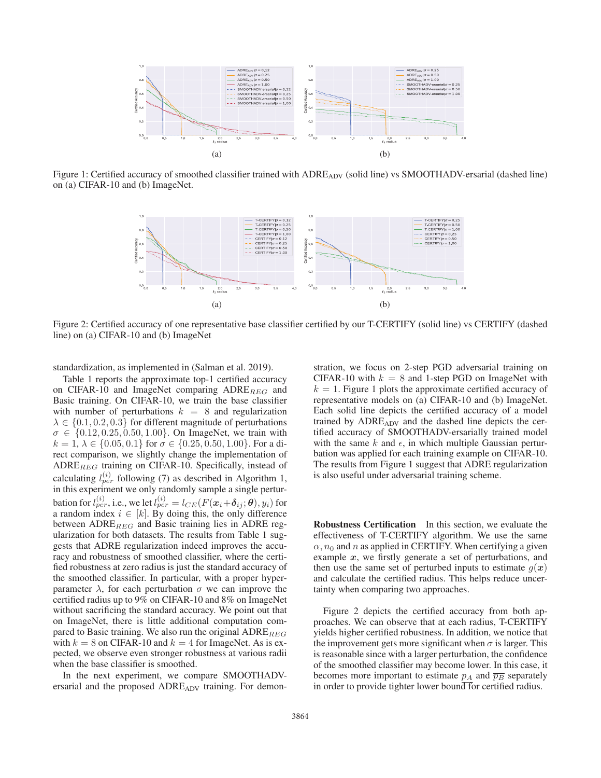

Figure 1: Certified accuracy of smoothed classifier trained with ADRE<sub>ADV</sub> (solid line) vs SMOOTHADV-ersarial (dashed line) on (a) CIFAR-10 and (b) ImageNet.



Figure 2: Certified accuracy of one representative base classifier certified by our T-CERTIFY (solid line) vs CERTIFY (dashed line) on (a) CIFAR-10 and (b) ImageNet

standardization, as implemented in (Salman et al. 2019).

Table 1 reports the approximate top-1 certified accuracy on CIFAR-10 and ImageNet comparing  $ADRE_{REG}$  and Basic training. On CIFAR-10, we train the base classifier with number of perturbations  $k = 8$  and regularization  $\lambda \in \{0.1, 0.2, 0.3\}$  for different magnitude of perturbations  $\sigma \in \{0.12, 0.25, 0.50, 1.00\}$ . On ImageNet, we train with  $k = 1, \lambda \in \{0.05, 0.1\}$  for  $\sigma \in \{0.25, 0.50, 1.00\}$ . For a direct comparison, we slightly change the implementation of  $\text{ADRE}_{REG}$  training on CIFAR-10. Specifically, instead of calculating  $l_{per}^{(i)}$  following (7) as described in Algorithm 1,<br>in this experiment we only randomly sample a single perturin this experiment we only randomly sample a single perturbation for  $l_{per}^{(i)}$ , i.e., we let  $l_{per}^{(i)} = l_{CE}(F(\mathbf{x}_i + \delta_{ij}; \theta), y_i)$  for a random index  $i \in [k]$ . By doing this the only difference a random index  $i \in [k]$ . By doing this, the only difference between  $\text{ADRE}_{REG}$  and Basic training lies in ADRE regularization for both datasets. The results from Table 1 suggests that ADRE regularization indeed improves the accuracy and robustness of smoothed classifier, where the certified robustness at zero radius is just the standard accuracy of the smoothed classifier. In particular, with a proper hyperparameter  $\lambda$ , for each perturbation  $\sigma$  we can improve the certified radius up to 9% on CIFAR-10 and 8% on ImageNet without sacrificing the standard accuracy. We point out that on ImageNet, there is little additional computation compared to Basic training. We also run the original  $\text{ADRE}_{REG}$ with  $k = 8$  on CIFAR-10 and  $k = 4$  for ImageNet. As is expected, we observe even stronger robustness at various radii when the base classifier is smoothed.

In the next experiment, we compare SMOOTHADVersarial and the proposed ADRE<sub>ADV</sub> training. For demon-

stration, we focus on 2-step PGD adversarial training on CIFAR-10 with  $k = 8$  and 1-step PGD on ImageNet with  $k = 1$ . Figure 1 plots the approximate certified accuracy of representative models on (a) CIFAR-10 and (b) ImageNet. Each solid line depicts the certified accuracy of a model trained by ADRE<sub>ADV</sub> and the dashed line depicts the certified accuracy of SMOOTHADV-ersarially trained model with the same k and  $\epsilon$ , in which multiple Gaussian perturbation was applied for each training example on CIFAR-10. The results from Figure 1 suggest that ADRE regularization is also useful under adversarial training scheme.

Robustness Certification In this section, we evaluate the effectiveness of T-CERTIFY algorithm. We use the same  $\alpha$ ,  $n_0$  and n as applied in CERTIFY. When certifying a given example *x*, we firstly generate a set of perturbations, and then use the same set of perturbed inputs to estimate  $g(x)$ and calculate the certified radius. This helps reduce uncertainty when comparing two approaches.

Figure 2 depicts the certified accuracy from both approaches. We can observe that at each radius, T-CERTIFY yields higher certified robustness. In addition, we notice that the improvement gets more significant when  $\sigma$  is larger. This is reasonable since with a larger perturbation, the confidence of the smoothed classifier may become lower. In this case, it becomes more important to estimate  $p_A$  and  $\overline{p_B}$  separately in order to provide tighter lower bound for certified radius.